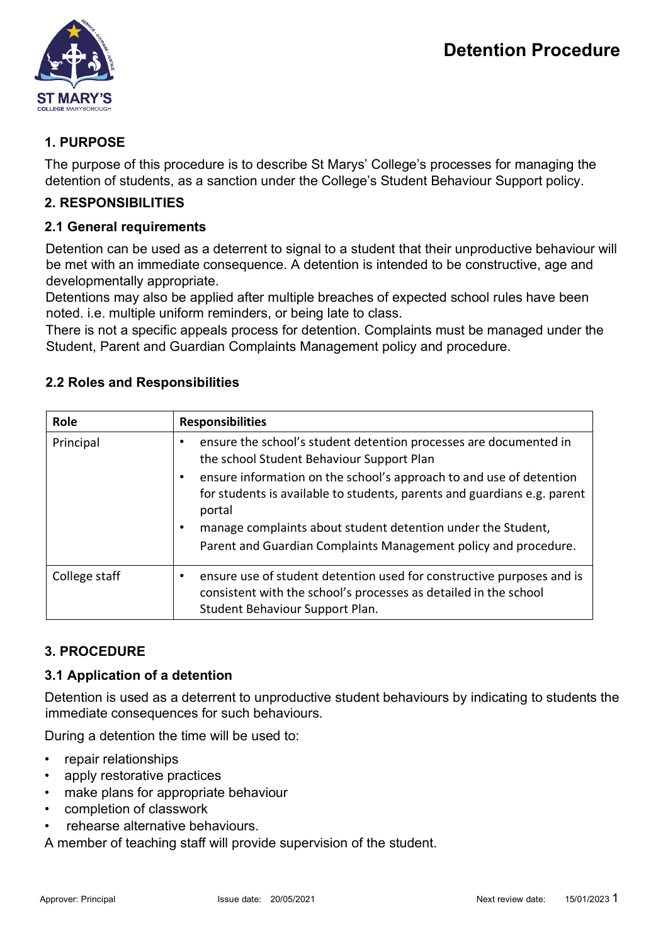

# **1. PURPOSE**

The purpose of this procedure is to describe St Marys' College's processes for managing the detention of students, as a sanction under the College's Student Behaviour Support policy.

## **2. RESPONSIBILITIES**

### **2.1 General requirements**

Detention can be used as a deterrent to signal to a student that their unproductive behaviour will be met with an immediate consequence. A detention is intended to be constructive, age and developmentally appropriate.

Detentions may also be applied after multiple breaches of expected school rules have been noted. i.e. multiple uniform reminders, or being late to class.

There is not a specific appeals process for detention. Complaints must be managed under the Student, Parent and Guardian Complaints Management policy and procedure.

| Role          | <b>Responsibilities</b>                                                                                                                                                      |
|---------------|------------------------------------------------------------------------------------------------------------------------------------------------------------------------------|
| Principal     | ensure the school's student detention processes are documented in<br>the school Student Behaviour Support Plan                                                               |
|               | ensure information on the school's approach to and use of detention<br>for students is available to students, parents and guardians e.g. parent<br>portal                    |
|               | manage complaints about student detention under the Student,                                                                                                                 |
|               | Parent and Guardian Complaints Management policy and procedure.                                                                                                              |
| College staff | ensure use of student detention used for constructive purposes and is<br>consistent with the school's processes as detailed in the school<br>Student Behaviour Support Plan. |

# **2.2 Roles and Responsibilities**

# **3. PROCEDURE**

# **3.1 Application of a detention**

Detention is used as a deterrent to unproductive student behaviours by indicating to students the immediate consequences for such behaviours.

During a detention the time will be used to:

- repair relationships
- apply restorative practices
- make plans for appropriate behaviour
- completion of classwork
- rehearse alternative behaviours.

A member of teaching staff will provide supervision of the student.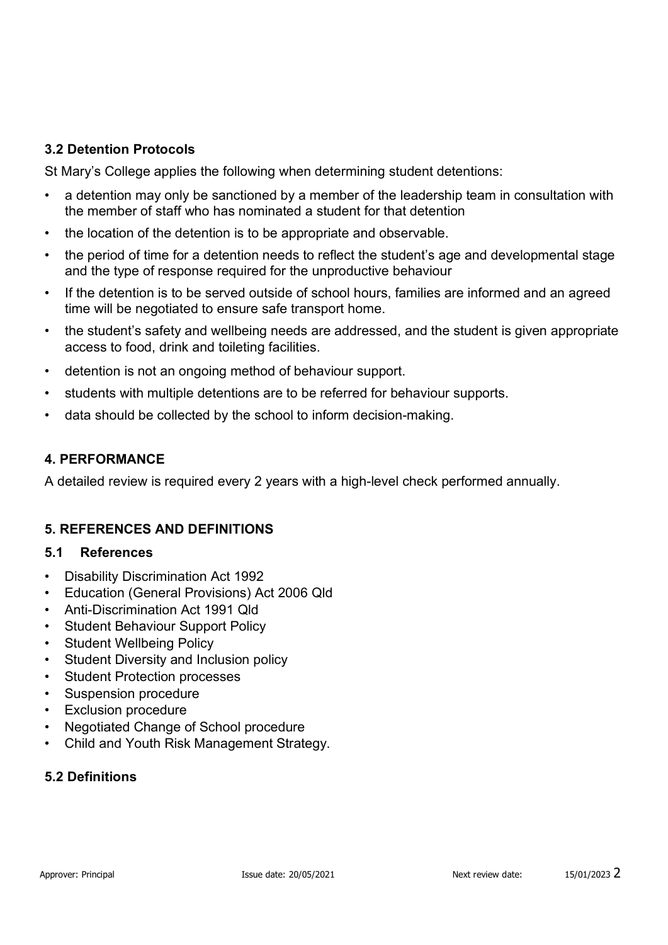### **3.2 Detention Protocols**

St Mary's College applies the following when determining student detentions:

- a detention may only be sanctioned by a member of the leadership team in consultation with the member of staff who has nominated a student for that detention
- the location of the detention is to be appropriate and observable.
- the period of time for a detention needs to reflect the student's age and developmental stage and the type of response required for the unproductive behaviour
- If the detention is to be served outside of school hours, families are informed and an agreed time will be negotiated to ensure safe transport home.
- the student's safety and wellbeing needs are addressed, and the student is given appropriate access to food, drink and toileting facilities.
- detention is not an ongoing method of behaviour support.
- students with multiple detentions are to be referred for behaviour supports.
- data should be collected by the school to inform decision-making.

### **4. PERFORMANCE**

A detailed review is required every 2 years with a high-level check performed annually.

### **5. REFERENCES AND DEFINITIONS**

### **5.1 References**

- Disability Discrimination Act 1992
- Education (General Provisions) Act 2006 Qld
- Anti-Discrimination Act 1991 Qld
- Student Behaviour Support Policy
- Student Wellbeing Policy
- Student Diversity and Inclusion policy
- Student Protection processes
- Suspension procedure
- Exclusion procedure
- Negotiated Change of School procedure
- Child and Youth Risk Management Strategy.

### **5.2 Definitions**